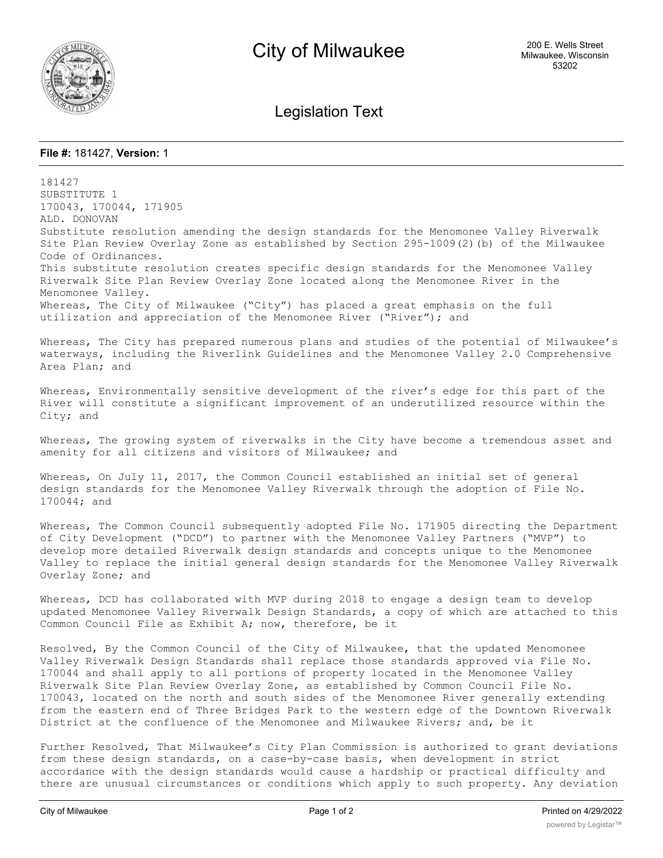

Legislation Text

## **File #:** 181427, **Version:** 1

181427 SUBSTITUTE 1 170043, 170044, 171905 ALD. DONOVAN Substitute resolution amending the design standards for the Menomonee Valley Riverwalk Site Plan Review Overlay Zone as established by Section 295-1009(2)(b) of the Milwaukee Code of Ordinances. This substitute resolution creates specific design standards for the Menomonee Valley Riverwalk Site Plan Review Overlay Zone located along the Menomonee River in the Menomonee Valley. Whereas, The City of Milwaukee ("City") has placed a great emphasis on the full utilization and appreciation of the Menomonee River ("River"); and Whereas, The City has prepared numerous plans and studies of the potential of Milwaukee's waterways, including the Riverlink Guidelines and the Menomonee Valley 2.0 Comprehensive Area Plan; and Whereas, Environmentally sensitive development of the river's edge for this part of the River will constitute a significant improvement of an underutilized resource within the City; and Whereas, The growing system of riverwalks in the City have become a tremendous asset and amenity for all citizens and visitors of Milwaukee; and Whereas, On July 11, 2017, the Common Council established an initial set of general design standards for the Menomonee Valley Riverwalk through the adoption of File No. 170044; and Whereas, The Common Council subsequently adopted File No. 171905 directing the Department of City Development ("DCD") to partner with the Menomonee Valley Partners ("MVP") to develop more detailed Riverwalk design standards and concepts unique to the Menomonee Valley to replace the initial general design standards for the Menomonee Valley Riverwalk Overlay Zone; and Whereas, DCD has collaborated with MVP during 2018 to engage a design team to develop updated Menomonee Valley Riverwalk Design Standards, a copy of which are attached to this Common Council File as Exhibit A; now, therefore, be it Resolved, By the Common Council of the City of Milwaukee, that the updated Menomonee Valley Riverwalk Design Standards shall replace those standards approved via File No. 170044 and shall apply to all portions of property located in the Menomonee Valley Riverwalk Site Plan Review Overlay Zone, as established by Common Council File No. 170043, located on the north and south sides of the Menomonee River generally extending from the eastern end of Three Bridges Park to the western edge of the Downtown Riverwalk District at the confluence of the Menomonee and Milwaukee Rivers; and, be it

Further Resolved, That Milwaukee's City Plan Commission is authorized to grant deviations from these design standards, on a case-by-case basis, when development in strict accordance with the design standards would cause a hardship or practical difficulty and there are unusual circumstances or conditions which apply to such property. Any deviation